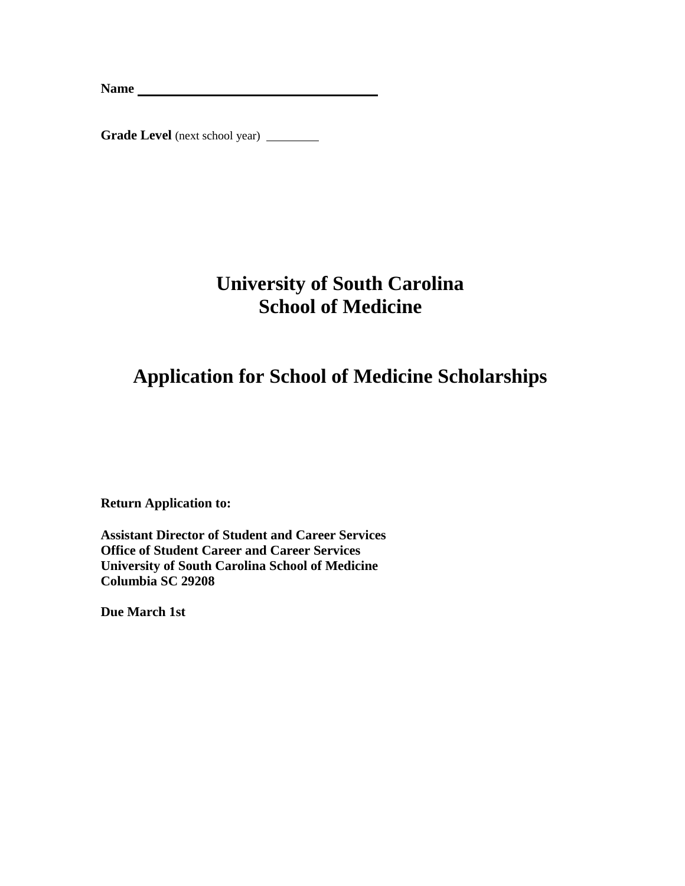**Name** 

Grade Level (next school year)

# **University of South Carolina School of Medicine**

# **Application for School of Medicine Scholarships**

**Return Application to:**

**Assistant Director of Student and Career Services Office of Student Career and Career Services University of South Carolina School of Medicine Columbia SC 29208**

**Due March 1st**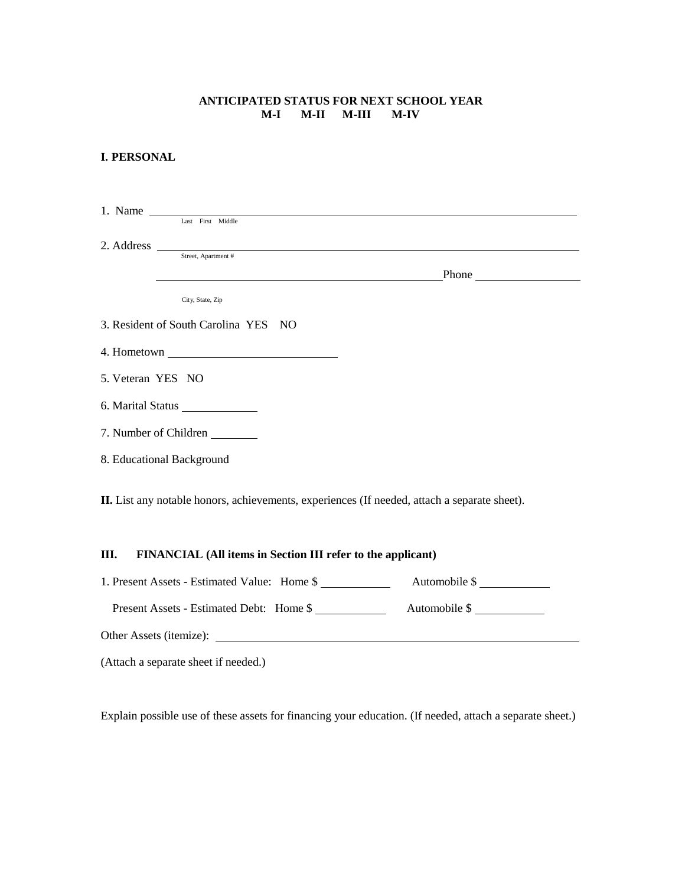## **ANTICIPATED STATUS FOR NEXT SCHOOL YEAR M-I M-II M-III M-IV**

# **I. PERSONAL**

| 1. Name Last First Middle                                                                    |                                                                                                                                                                                       |  |  |  |
|----------------------------------------------------------------------------------------------|---------------------------------------------------------------------------------------------------------------------------------------------------------------------------------------|--|--|--|
|                                                                                              |                                                                                                                                                                                       |  |  |  |
|                                                                                              |                                                                                                                                                                                       |  |  |  |
|                                                                                              | <u>Phone</u> <b>Phone Phone Phone Phone Phone Phone Phone Phone Phone Phone Phone Phone Phone Phone Phone Phone Phone Phone Phone Phone Phone Phone Phone Phone Phone Phone Phone</b> |  |  |  |
| City, State, Zip                                                                             |                                                                                                                                                                                       |  |  |  |
| 3. Resident of South Carolina YES NO                                                         |                                                                                                                                                                                       |  |  |  |
| 4. Hometown                                                                                  |                                                                                                                                                                                       |  |  |  |
| 5. Veteran YES NO                                                                            |                                                                                                                                                                                       |  |  |  |
| 6. Marital Status                                                                            |                                                                                                                                                                                       |  |  |  |
| 7. Number of Children                                                                        |                                                                                                                                                                                       |  |  |  |
| 8. Educational Background                                                                    |                                                                                                                                                                                       |  |  |  |
| II. List any notable honors, achievements, experiences (If needed, attach a separate sheet). |                                                                                                                                                                                       |  |  |  |
| FINANCIAL (All items in Section III refer to the applicant)<br>Ш.                            |                                                                                                                                                                                       |  |  |  |
| 1. Present Assets - Estimated Value: Home \$                                                 | Automobile \$                                                                                                                                                                         |  |  |  |
| Present Assets - Estimated Debt: Home \$                                                     | Automobile \$                                                                                                                                                                         |  |  |  |
| Other Assets (itemize):                                                                      |                                                                                                                                                                                       |  |  |  |

(Attach a separate sheet if needed.)

Explain possible use of these assets for financing your education. (If needed, attach a separate sheet.)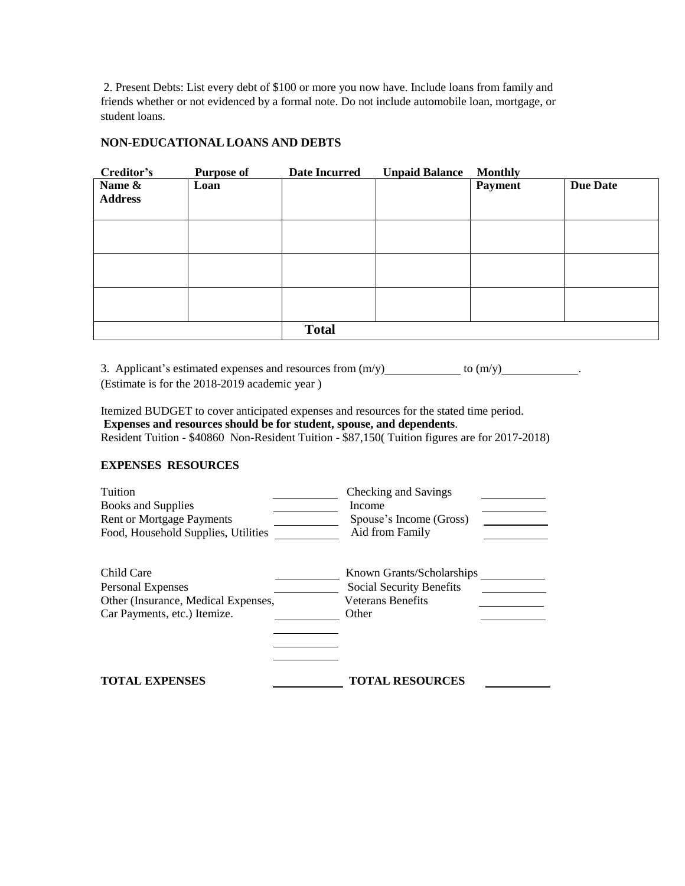2. Present Debts: List every debt of \$100 or more you now have. Include loans from family and friends whether or not evidenced by a formal note. Do not include automobile loan, mortgage, or student loans.

## **NON-EDUCATIONALLOANS AND DEBTS**

| Creditor's     | <b>Purpose of</b> | Date Incurred | <b>Unpaid Balance</b> | <b>Monthly</b> |                 |
|----------------|-------------------|---------------|-----------------------|----------------|-----------------|
| Name &         | Loan              |               |                       | <b>Payment</b> | <b>Due Date</b> |
| <b>Address</b> |                   |               |                       |                |                 |
|                |                   |               |                       |                |                 |
|                |                   |               |                       |                |                 |
|                |                   |               |                       |                |                 |
|                |                   |               |                       |                |                 |
|                |                   |               |                       |                |                 |
|                |                   |               |                       |                |                 |
|                |                   |               |                       |                |                 |
|                |                   | <b>Total</b>  |                       |                |                 |

3. Applicant's estimated expenses and resources from  $(m/y)$  to  $(m/y)$  to  $(m/y)$ . (Estimate is for the 2018-2019 academic year )

Itemized BUDGET to cover anticipated expenses and resources for the stated time period. **Expenses and resources should be for student, spouse, and dependents**. Resident Tuition - \$40860 Non-Resident Tuition - \$87,150( Tuition figures are for 2017-2018)

### **EXPENSES RESOURCES**

| Tuition                             | Checking and Savings      |
|-------------------------------------|---------------------------|
| <b>Books and Supplies</b>           | Income                    |
| <b>Rent or Mortgage Payments</b>    | Spouse's Income (Gross)   |
| Food, Household Supplies, Utilities | Aid from Family           |
| Child Care                          | Known Grants/Scholarships |
| Personal Expenses                   | Social Security Benefits  |
| Other (Insurance, Medical Expenses, | Veterans Benefits         |
| Car Payments, etc.) Itemize.        | Other                     |
|                                     |                           |
|                                     |                           |
| <b>TOTAL EXPENSES</b>               | <b>TOTAL RESOURCES</b>    |